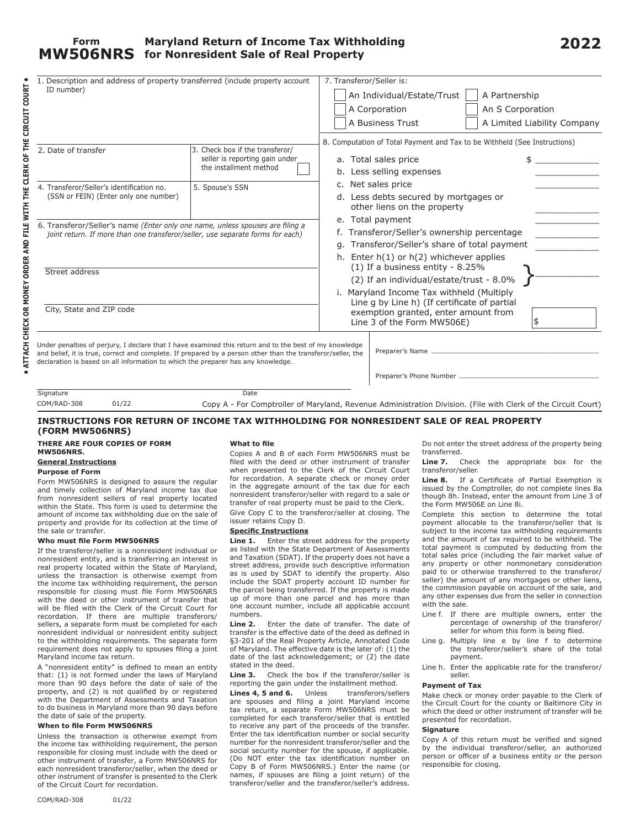| 1. Description and address of property transferred (include property account<br>ID number)                                                                                                      |                                                                   | 7. Transferor/Seller is:                                                                                           |                                           |                                                                           |                             |
|-------------------------------------------------------------------------------------------------------------------------------------------------------------------------------------------------|-------------------------------------------------------------------|--------------------------------------------------------------------------------------------------------------------|-------------------------------------------|---------------------------------------------------------------------------|-----------------------------|
|                                                                                                                                                                                                 |                                                                   | An Individual/Estate/Trust<br>A Partnership                                                                        |                                           |                                                                           |                             |
|                                                                                                                                                                                                 |                                                                   |                                                                                                                    |                                           |                                                                           |                             |
|                                                                                                                                                                                                 |                                                                   |                                                                                                                    | A Corporation                             | An S Corporation                                                          |                             |
|                                                                                                                                                                                                 |                                                                   |                                                                                                                    | A Business Trust                          |                                                                           | A Limited Liability Company |
|                                                                                                                                                                                                 |                                                                   |                                                                                                                    |                                           | 8. Computation of Total Payment and Tax to be Withheld (See Instructions) |                             |
| 2. Date of transfer                                                                                                                                                                             | 3. Check box if the transferor/<br>seller is reporting gain under |                                                                                                                    | a. Total sales price                      |                                                                           |                             |
|                                                                                                                                                                                                 | the installment method                                            |                                                                                                                    |                                           |                                                                           |                             |
|                                                                                                                                                                                                 |                                                                   |                                                                                                                    | b. Less selling expenses                  |                                                                           |                             |
| 4. Transferor/Seller's identification no.                                                                                                                                                       | 5. Spouse's SSN                                                   |                                                                                                                    | c. Net sales price                        |                                                                           |                             |
| (SSN or FEIN) (Enter only one number)                                                                                                                                                           |                                                                   |                                                                                                                    | d. Less debts secured by mortgages or     |                                                                           |                             |
|                                                                                                                                                                                                 |                                                                   |                                                                                                                    | other liens on the property               |                                                                           |                             |
| 6. Transferor/Seller's name (Enter only one name, unless spouses are filing a                                                                                                                   |                                                                   |                                                                                                                    | e. Total payment                          |                                                                           |                             |
| joint return. If more than one transferor/seller, use separate forms for each)                                                                                                                  |                                                                   | f. Transferor/Seller's ownership percentage                                                                        |                                           |                                                                           |                             |
|                                                                                                                                                                                                 |                                                                   | g. Transferor/Seller's share of total payment                                                                      |                                           |                                                                           |                             |
|                                                                                                                                                                                                 |                                                                   | h. Enter h(1) or h(2) whichever applies                                                                            |                                           |                                                                           |                             |
| Street address                                                                                                                                                                                  |                                                                   |                                                                                                                    | $(1)$ If a business entity - 8.25%        |                                                                           |                             |
|                                                                                                                                                                                                 |                                                                   | (2) If an individual/estate/trust - 8.0%                                                                           |                                           |                                                                           |                             |
|                                                                                                                                                                                                 |                                                                   |                                                                                                                    | i. Maryland Income Tax withheld (Multiply |                                                                           |                             |
| City, State and ZIP code                                                                                                                                                                        |                                                                   | Line q by Line h) (If certificate of partial<br>exemption granted, enter amount from<br>Line 3 of the Form MW506E) |                                           |                                                                           |                             |
|                                                                                                                                                                                                 |                                                                   |                                                                                                                    |                                           |                                                                           |                             |
| Under penalties of perjury, I declare that I have examined this return and to the best of my knowledge                                                                                          |                                                                   |                                                                                                                    |                                           |                                                                           |                             |
| and belief, it is true, correct and complete. If prepared by a person other than the transferor/seller, the<br>declaration is based on all information to which the preparer has any knowledge. |                                                                   |                                                                                                                    | Preparer's Name                           |                                                                           |                             |
|                                                                                                                                                                                                 |                                                                   |                                                                                                                    |                                           |                                                                           |                             |
|                                                                                                                                                                                                 |                                                                   |                                                                                                                    |                                           |                                                                           |                             |
| Signature                                                                                                                                                                                       | <b>Date</b>                                                       |                                                                                                                    |                                           |                                                                           |                             |

Copy A - For Comptroller of Maryland, Revenue Administration Division. (File with Clerk of the Circuit Court) COM/RAD-308 01/22

# **INSTRUCTIONS FOR RETURN OF INCOME TAX WITHHOLDING FOR NONRESIDENT SALE OF REAL PROPERTY (FORM MW506NRS)**

# **THERE ARE FOUR COPIES OF FORM MW506NRS.**

# **General Instructions**

**Purpose of Form**

**• ATTACH CHECK OR MONEY ORDER AND FILE WITH THE CLERK OF THE CIRCUIT COURT •**

. ATTACH CHECK OR MONEY ORDER AND FILE WITH THE CLERK OF THE CIRCUIT COURT.

Form MW506NRS is designed to assure the regular and timely collection of Maryland income tax due from nonresident sellers of real property located within the State. This form is used to determine the amount of income tax withholding due on the sale of property and provide for its collection at the time of the sale or transfer.

#### **Who must file Form MW506NRS**

If the transferor/seller is a nonresident individual or nonresident entity, and is transferring an interest in real property located within the State of Maryland, unless the transaction is otherwise exempt from the income tax withholding requirement, the person responsible for closing must file Form MW506NRS with the deed or other instrument of transfer that will be filed with the Clerk of the Circuit Court for recordation. If there are multiple transferors/ sellers, a separate form must be completed for each nonresident individual or nonresident entity subject to the withholding requirements. The separate form requirement does not apply to spouses filing a joint Maryland income tax return.

A "nonresident entity" is defined to mean an entity that: (1) is not formed under the laws of Maryland more than 90 days before the date of sale of the property, and (2) is not qualified by or registered with the Department of Assessments and Taxation to do business in Maryland more than 90 days before the date of sale of the property.

### **When to file Form MW506NRS**

Unless the transaction is otherwise exempt from the income tax withholding requirement, the person responsible for closing must include with the deed or other instrument of transfer, a Form MW506NRS for each nonresident transferor/seller, when the deed or other instrument of transfer is presented to the Clerk of the Circuit Court for recordation.

#### **What to file**

Copies A and B of each Form MW506NRS must be filed with the deed or other instrument of transfer when presented to the Clerk of the Circuit Court for recordation. A separate check or money order in the aggregate amount of the tax due for each nonresident transferor/seller with regard to a sale or transfer of real property must be paid to the Clerk.

Give Copy C to the transferor/seller at closing. The issuer retains Copy D.

# **Specific Instructions**

Line 1. Enter the street address for the property as listed with the State Department of Assessments and Taxation (SDAT). If the property does not have a street address, provide such descriptive information as is used by SDAT to identify the property. Also include the SDAT property account ID number for the parcel being transferred. If the property is made up of more than one parcel and has more than one account number, include all applicable account numbers.

**Line 2.** Enter the date of transfer. The date of transfer is the effective date of the deed as defined in §3-201 of the Real Property Article, Annotated Code of Maryland. The effective date is the later of: (1) the date of the last acknowledgement; or (2) the date stated in the deed.

**Line 3.** Check the box if the transferor/seller is reporting the gain under the installment method.

**Lines 4, 5 and 6.** Unless transferors/sellers are spouses and filing a joint Maryland income tax return, a separate Form MW506NRS must be completed for each transferor/seller that is entitled to receive any part of the proceeds of the transfer. Enter the tax identification number or social security number for the nonresident transferor/seller and the social security number for the spouse, if applicable. (Do NOT enter the tax identification number on Copy B of Form MW506NRS.) Enter the name (or names, if spouses are filing a joint return) of the transferor/seller and the transferor/seller's address.

Do not enter the street address of the property being transferred.

Line 7. Check the appropriate box for the transferor/seller.

**Line 8.** If a Certificate of Partial Exemption is issued by the Comptroller, do not complete lines 8a though 8h. Instead, enter the amount from Line 3 of the Form MW506E on Line 8i.

Complete this section to determine the total payment allocable to the transferor/seller that is subject to the income tax withholding requirements and the amount of tax required to be withheld. The total payment is computed by deducting from the total sales price (including the fair market value of any property or other nonmonetary consideration paid to or otherwise transferred to the transferor/ seller) the amount of any mortgages or other liens, the commission payable on account of the sale, and any other expenses due from the seller in connection with the sale.

- Line f. If there are multiple owners, enter the percentage of ownership of the transferor/ seller for whom this form is being filed.
- Line g. Multiply line e by line f to determine the transferor/seller's share of the total payment.
- Line h. Enter the applicable rate for the transferor/ seller.

# **Payment of Tax**

Make check or money order payable to the Clerk of the Circuit Court for the county or Baltimore City in which the deed or other instrument of transfer will be presented for recordation.

#### **Signature**

Copy A of this return must be verified and signed by the individual transferor/seller, an authorized person or officer of a business entity or the person responsible for closing.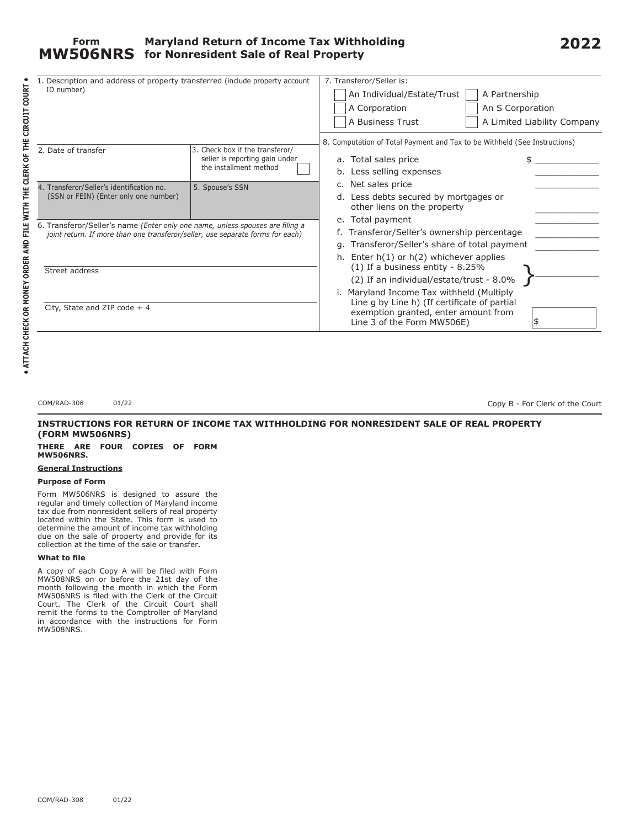| 1. Description and address of property transferred (include property account<br>ID number)                                                                      |                                                                                             | 7. Transferor/Seller is:<br>An Individual/Estate/Trust<br>A Partnership<br>A Corporation<br>An S Corporation<br>A Limited Liability Company<br>A Business Trust<br>8. Computation of Total Payment and Tax to be Withheld (See Instructions)      |  |  |  |
|-----------------------------------------------------------------------------------------------------------------------------------------------------------------|---------------------------------------------------------------------------------------------|---------------------------------------------------------------------------------------------------------------------------------------------------------------------------------------------------------------------------------------------------|--|--|--|
| 2. Date of transfer                                                                                                                                             | 3. Check box if the transferor/<br>seller is reporting gain under<br>the installment method | a. Total sales price<br>b. Less selling expenses                                                                                                                                                                                                  |  |  |  |
| 4. Transferor/Seller's identification no.<br>(SSN or FEIN) (Enter only one number)                                                                              | 5. Spouse's SSN                                                                             | c. Net sales price<br>d. Less debts secured by mortgages or<br>other liens on the property                                                                                                                                                        |  |  |  |
| 6. Transferor/Seller's name (Enter only one name, unless spouses are filing a<br>joint return. If more than one transferor/seller, use separate forms for each) |                                                                                             | e. Total payment<br>f. Transferor/Seller's ownership percentage<br>g. Transferor/Seller's share of total payment<br>h. Enter $h(1)$ or $h(2)$ whichever applies                                                                                   |  |  |  |
| Street address                                                                                                                                                  |                                                                                             | $(1)$ If a business entity - 8.25%<br>(2) If an individual/estate/trust - 8.0%<br>i. Maryland Income Tax withheld (Multiply<br>Line g by Line h) (If certificate of partial<br>exemption granted, enter amount from<br>Line 3 of the Form MW506E) |  |  |  |
| City, State and ZIP code $+4$                                                                                                                                   |                                                                                             |                                                                                                                                                                                                                                                   |  |  |  |

COM/RAD-308 01/22

Copy B - For Clerk of the Court

**2022**

# **INSTRUCTIONS FOR RETURN OF INCOME TAX WITHHOLDING FOR NONRESIDENT SALE OF REAL PROPERTY (FORM MW506NRS)**

### **THERE ARE FOUR COPIES OF FORM MW506NRS.**

# **General Instructions**

# **Purpose of Form**

Form MW506NRS is designed to assure the regular and timely collection of Maryland income tax due from nonresident sellers of real property located within the State. This form is used to determine the amount of income tax withholding due on the sale of property and provide for its collection at the time of the sale or transfer.

# **What to file**

A copy of each Copy A will be filed with Form MW508NRS on or before the 21st day of the month following the month in which the Form MW506NRS is filed with the Clerk of the Circuit Court. The Clerk of the Circuit Court shall remit the forms to the Comptroller of Maryland in accordance with the instructions for Form MW508NRS.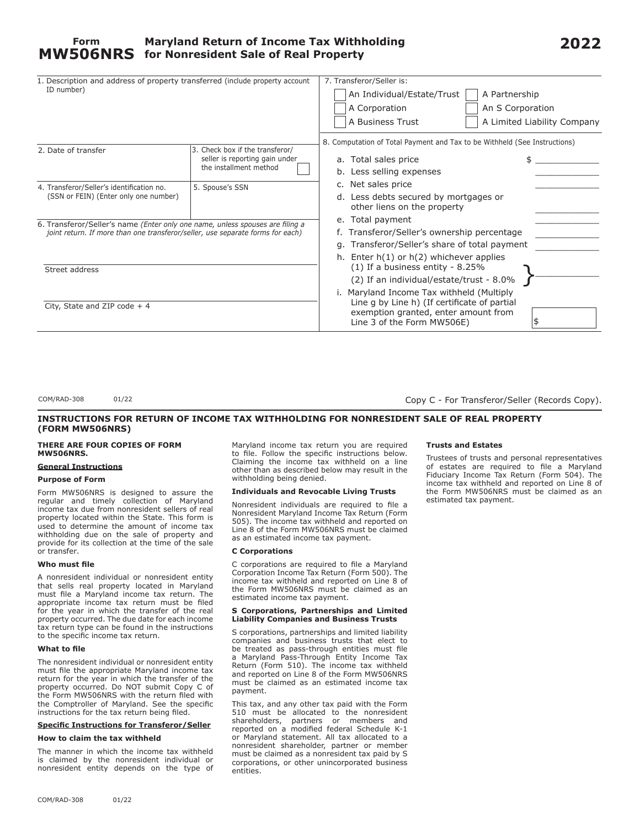| 1. Description and address of property transferred (include property account<br>ID number)                                                                      |                                                                                             | 7. Transferor/Seller is:<br>A Partnership<br>An Individual/Estate/Trust<br>A Corporation<br>An S Corporation<br>A Business Trust<br>A Limited Liability Company |  |  |
|-----------------------------------------------------------------------------------------------------------------------------------------------------------------|---------------------------------------------------------------------------------------------|-----------------------------------------------------------------------------------------------------------------------------------------------------------------|--|--|
| 2. Date of transfer                                                                                                                                             | 3. Check box if the transferor/<br>seller is reporting gain under<br>the installment method | 8. Computation of Total Payment and Tax to be Withheld (See Instructions)<br>a. Total sales price<br>b. Less selling expenses                                   |  |  |
| 4. Transferor/Seller's identification no.<br>(SSN or FEIN) (Enter only one number)                                                                              | 5. Spouse's SSN                                                                             | c. Net sales price<br>d. Less debts secured by mortgages or<br>other liens on the property                                                                      |  |  |
| 6. Transferor/Seller's name (Enter only one name, unless spouses are filing a<br>joint return. If more than one transferor/seller, use separate forms for each) |                                                                                             | e. Total payment<br>f. Transferor/Seller's ownership percentage<br>g. Transferor/Seller's share of total payment<br>h. Enter $h(1)$ or $h(2)$ whichever applies |  |  |
| Street address                                                                                                                                                  |                                                                                             | $(1)$ If a business entity - 8.25%<br>(2) If an individual/estate/trust - 8.0%<br>i. Maryland Income Tax withheld (Multiply                                     |  |  |
| City, State and ZIP code $+4$                                                                                                                                   |                                                                                             | Line q by Line h) (If certificate of partial<br>exemption granted, enter amount from<br>Line 3 of the Form MW506E)                                              |  |  |

COM/RAD-308 01/22

Copy C - For Transferor/Seller (Records Copy).

# **INSTRUCTIONS FOR RETURN OF INCOME TAX WITHHOLDING FOR NONRESIDENT SALE OF REAL PROPERTY (FORM MW506NRS)**

#### **THERE ARE FOUR COPIES OF FORM MW506NRS.**

# **General Instructions**

# **Purpose of Form**

Form MW506NRS is designed to assure the regular and timely collection of Maryland income tax due from nonresident sellers of real property located within the State. This form is used to determine the amount of income tax withholding due on the sale of property and provide for its collection at the time of the sale or transfer.

#### **Who must file**

A nonresident individual or nonresident entity that sells real property located in Maryland must file a Maryland income tax return. The appropriate income tax return must be filed for the year in which the transfer of the real property occurred. The due date for each income tax return type can be found in the instructions to the specific income tax return.

### **What to file**

The nonresident individual or nonresident entity must file the appropriate Maryland income tax return for the year in which the transfer of the property occurred. Do NOT submit Copy C of the Form MW506NRS with the return filed with the Comptroller of Maryland. See the specific instructions for the tax return being filed.

### **Specific Instructions for Transferor/Seller**

#### **How to claim the tax withheld**

The manner in which the income tax withheld is claimed by the nonresident individual or nonresident entity depends on the type of Maryland income tax return you are required to file. Follow the specific instructions below. Claiming the income tax withheld on a line other than as described below may result in the withholding being denied.

### **Individuals and Revocable Living Trusts**

Nonresident individuals are required to file a Nonresident Maryland Income Tax Return (Form 505). The income tax withheld and reported on Line 8 of the Form MW506NRS must be claimed as an estimated income tax payment.

# **C Corporations**

C corporations are required to file a Maryland Corporation Income Tax Return (Form 500). The income tax withheld and reported on Line 8 of the Form MW506NRS must be claimed as an estimated income tax payment.

### **S Corporations, Partnerships and Limited Liability Companies and Business Trusts**

S corporations, partnerships and limited liability companies and business trusts that elect to be treated as pass-through entities must file a Maryland Pass-Through Entity Income Tax Return (Form 510). The income tax withheld and reported on Line 8 of the Form MW506NRS must be claimed as an estimated income tax payment.

This tax, and any other tax paid with the Form 510 must be allocated to the nonresident shareholders, partners or members and reported on a modified federal Schedule K-1 or Maryland statement. All tax allocated to a nonresident shareholder, partner or member must be claimed as a nonresident tax paid by S corporations, or other unincorporated business entities.

# **Trusts and Estates**

Trustees of trusts and personal representatives of estates are required to file a Maryland Fiduciary Income Tax Return (Form 504). The income tax withheld and reported on Line 8 of the Form MW506NRS must be claimed as an estimated tax payment.